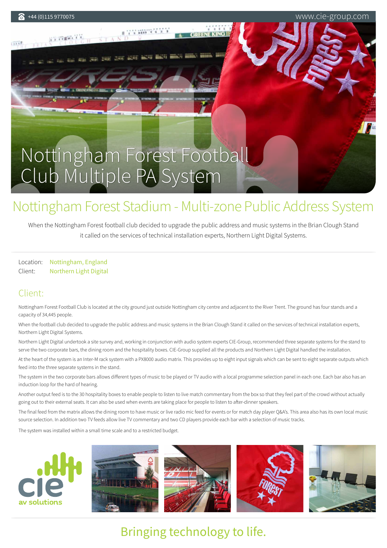**AN YOURS AND** 

+44 (0)115 9770075 www.cie-group.com

[Nottingham Forest Football](https://cie-group.com/projects/nottingham-forest-stadium-multi-zone-public-address-system) Club Multiple PA System

TYMWRYS

ner anv anv men i

# Nottingham Forest Stadium - Multi-zone Public Address System

When the Nottingham Forest football club decided to upgrade the public address and music systems in the Brian Clough Stand it called on the services of technical installation experts, Northern Light Digital Systems.

Location: Nottingham, England Client: Northern Light Digital

## Client:

Nottingham Forest Football Club is located at the city ground just outside Nottingham city centre and adjacent to the River Trent. The ground has four stands and a capacity of 34,445 people.

When the football club decided to upgrade the public address and music systems in the Brian Clough Stand it called on the services of technical installation experts, Northern Light Digital Systems.

Northern Light Digital undertook a site survey and, working in conjunction with audio system experts CIE-Group, recommended three separate systems for the stand to serve the two corporate bars, the dining room and the hospitality boxes. CIE-Group supplied all the products and Northern Light Digital handled the installation.

At the heart of the system is an Inter-M rack system with a PX8000 audio matrix. This provides up to eight input signals which can be sent to eight separate outputs which feed into the three separate systems in the stand.

The system in the two corporate bars allows different types of music to be played or TV audio with a local programme selection panel in each one. Each bar also has an induction loop for the hard of hearing.

Another output feed is to the 30 hospitality boxes to enable people to listen to live match commentary from the box so that they feel part of the crowd without actually going out to their external seats. It can also be used when events are taking place for people to listen to after-dinner speakers.

The final feed from the matrix allows the dining room to have music or live radio mic feed for events or for match day player Q&A's. This area also has its own local music source selection. In addition two TV feeds allow live TV commentary and two CD players provide each bar with a selection of music tracks.

The system was installed within a small time scale and to a restricted budget.



# Bringing technology to life.